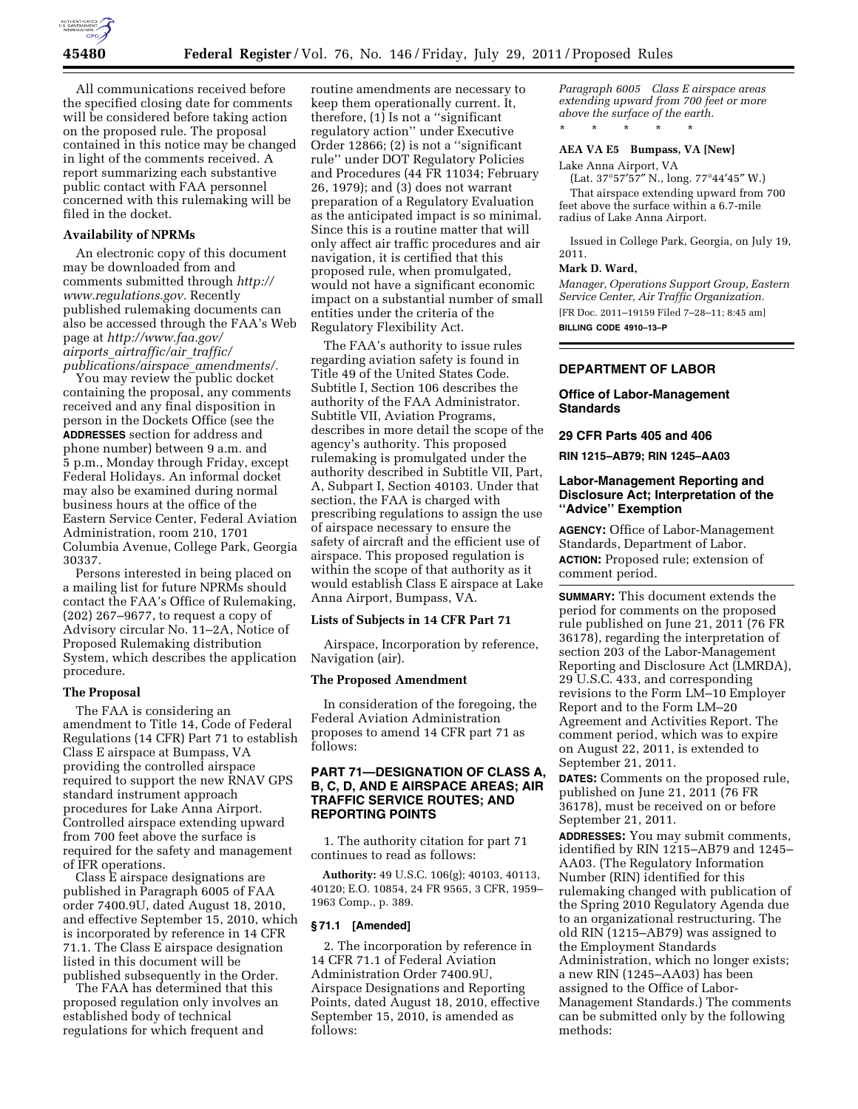

All communications received before the specified closing date for comments will be considered before taking action on the proposed rule. The proposal contained in this notice may be changed in light of the comments received. A report summarizing each substantive public contact with FAA personnel concerned with this rulemaking will be filed in the docket.

#### **Availability of NPRMs**

An electronic copy of this document may be downloaded from and comments submitted through *[http://](http://www.regulations.gov) [www.regulations.gov.](http://www.regulations.gov)* Recently published rulemaking documents can also be accessed through the FAA's Web page at *[http://www.faa.gov/](http://www.faa.gov/airports_airtraffic/air_traffic/publications/airspace_amendments/) airports*\_*[airtraffic/air](http://www.faa.gov/airports_airtraffic/air_traffic/publications/airspace_amendments/)*\_*traffic/ [publications/airspace](http://www.faa.gov/airports_airtraffic/air_traffic/publications/airspace_amendments/)*\_*amendments/.* 

You may review the public docket containing the proposal, any comments received and any final disposition in person in the Dockets Office (see the **ADDRESSES** section for address and phone number) between 9 a.m. and 5 p.m., Monday through Friday, except Federal Holidays. An informal docket may also be examined during normal business hours at the office of the Eastern Service Center, Federal Aviation Administration, room 210, 1701 Columbia Avenue, College Park, Georgia 30337.

Persons interested in being placed on a mailing list for future NPRMs should contact the FAA's Office of Rulemaking, (202) 267–9677, to request a copy of Advisory circular No. 11–2A, Notice of Proposed Rulemaking distribution System, which describes the application procedure.

#### **The Proposal**

The FAA is considering an amendment to Title 14, Code of Federal Regulations (14 CFR) Part 71 to establish Class E airspace at Bumpass, VA providing the controlled airspace required to support the new RNAV GPS standard instrument approach procedures for Lake Anna Airport. Controlled airspace extending upward from 700 feet above the surface is required for the safety and management of IFR operations.

Class E airspace designations are published in Paragraph 6005 of FAA order 7400.9U, dated August 18, 2010, and effective September 15, 2010, which is incorporated by reference in 14 CFR 71.1. The Class E airspace designation listed in this document will be published subsequently in the Order.

The FAA has determined that this proposed regulation only involves an established body of technical regulations for which frequent and

routine amendments are necessary to keep them operationally current. It, therefore, (1) Is not a ''significant regulatory action'' under Executive Order 12866; (2) is not a ''significant rule'' under DOT Regulatory Policies and Procedures (44 FR 11034; February 26, 1979); and (3) does not warrant preparation of a Regulatory Evaluation as the anticipated impact is so minimal. Since this is a routine matter that will only affect air traffic procedures and air navigation, it is certified that this proposed rule, when promulgated, would not have a significant economic impact on a substantial number of small entities under the criteria of the Regulatory Flexibility Act.

The FAA's authority to issue rules regarding aviation safety is found in Title 49 of the United States Code. Subtitle I, Section 106 describes the authority of the FAA Administrator. Subtitle VII, Aviation Programs, describes in more detail the scope of the agency's authority. This proposed rulemaking is promulgated under the authority described in Subtitle VII, Part, A, Subpart I, Section 40103. Under that section, the FAA is charged with prescribing regulations to assign the use of airspace necessary to ensure the safety of aircraft and the efficient use of airspace. This proposed regulation is within the scope of that authority as it would establish Class E airspace at Lake Anna Airport, Bumpass, VA.

## **Lists of Subjects in 14 CFR Part 71**

Airspace, Incorporation by reference, Navigation (air).

#### **The Proposed Amendment**

In consideration of the foregoing, the Federal Aviation Administration proposes to amend 14 CFR part 71 as follows:

# **PART 71—DESIGNATION OF CLASS A, B, C, D, AND E AIRSPACE AREAS; AIR TRAFFIC SERVICE ROUTES; AND REPORTING POINTS**

1. The authority citation for part 71 continues to read as follows:

**Authority:** 49 U.S.C. 106(g); 40103, 40113, 40120; E.O. 10854, 24 FR 9565, 3 CFR, 1959– 1963 Comp., p. 389.

## **§ 71.1 [Amended]**

2. The incorporation by reference in 14 CFR 71.1 of Federal Aviation Administration Order 7400.9U, Airspace Designations and Reporting Points, dated August 18, 2010, effective September 15, 2010, is amended as follows:

*Paragraph 6005 Class E airspace areas extending upward from 700 feet or more above the surface of the earth.*  \* \* \* \* \*

# **AEA VA E5 Bumpass, VA [New]**

Lake Anna Airport, VA

(Lat. 37°57′57″ N., long. 77°44′45″ W.)

That airspace extending upward from 700 feet above the surface within a 6.7-mile radius of Lake Anna Airport.

Issued in College Park, Georgia, on July 19, 2011.

#### **Mark D. Ward,**

*Manager, Operations Support Group, Eastern Service Center, Air Traffic Organization.*  [FR Doc. 2011–19159 Filed 7–28–11; 8:45 am]

**BILLING CODE 4910–13–P** 

## **DEPARTMENT OF LABOR**

#### **Office of Labor-Management Standards**

#### **29 CFR Parts 405 and 406**

**RIN 1215–AB79; RIN 1245–AA03** 

## **Labor-Management Reporting and Disclosure Act; Interpretation of the ''Advice'' Exemption**

**AGENCY:** Office of Labor-Management Standards, Department of Labor. **ACTION:** Proposed rule; extension of comment period.

**SUMMARY:** This document extends the period for comments on the proposed rule published on June 21, 2011 (76 FR 36178), regarding the interpretation of section 203 of the Labor-Management Reporting and Disclosure Act (LMRDA), 29 U.S.C. 433, and corresponding revisions to the Form LM–10 Employer Report and to the Form LM–20 Agreement and Activities Report. The comment period, which was to expire on August 22, 2011, is extended to September 21, 2011.

**DATES:** Comments on the proposed rule, published on June 21, 2011 (76 FR 36178), must be received on or before September 21, 2011.

**ADDRESSES:** You may submit comments, identified by RIN 1215–AB79 and 1245– AA03. (The Regulatory Information Number (RIN) identified for this rulemaking changed with publication of the Spring 2010 Regulatory Agenda due to an organizational restructuring. The old RIN (1215–AB79) was assigned to the Employment Standards Administration, which no longer exists; a new RIN (1245–AA03) has been assigned to the Office of Labor-Management Standards.) The comments can be submitted only by the following methods: